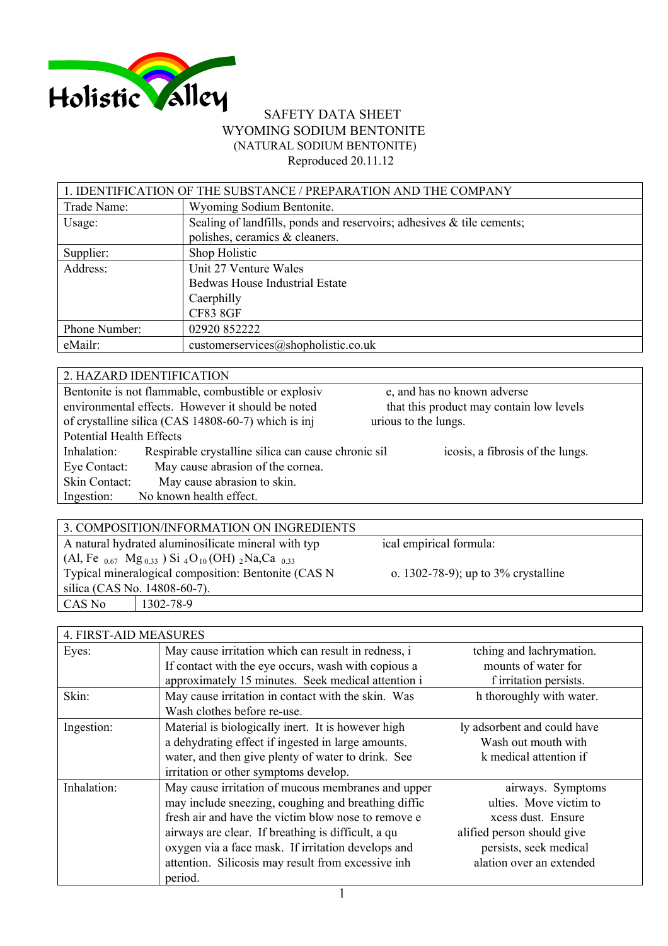

## SAFETY DATA SHEET WYOMING SODIUM BENTONITE (NATURAL SODIUM BENTONITE) Reproduced 20.11.12

| 1. IDENTIFICATION OF THE SUBSTANCE / PREPARATION AND THE COMPANY |                                                                       |  |
|------------------------------------------------------------------|-----------------------------------------------------------------------|--|
| Trade Name:                                                      | Wyoming Sodium Bentonite.                                             |  |
| Usage:                                                           | Sealing of landfills, ponds and reservoirs; adhesives & tile cements; |  |
|                                                                  | polishes, ceramics & cleaners.                                        |  |
| Supplier:                                                        | Shop Holistic                                                         |  |
| Address:                                                         | Unit 27 Venture Wales                                                 |  |
|                                                                  | Bedwas House Industrial Estate                                        |  |
|                                                                  | Caerphilly                                                            |  |
|                                                                  | <b>CF83 8GF</b>                                                       |  |
| Phone Number:                                                    | 02920 852222                                                          |  |
| eMailr:                                                          | customerservices@shopholistic.co.uk                                   |  |

|                                 | 2. HAZARD IDENTIFICATION                            |                                          |
|---------------------------------|-----------------------------------------------------|------------------------------------------|
|                                 | Bentonite is not flammable, combustible or explosiv | e, and has no known adverse              |
|                                 | environmental effects. However it should be noted   | that this product may contain low levels |
|                                 | of crystalline silica (CAS 14808-60-7) which is inj | urious to the lungs.                     |
| <b>Potential Health Effects</b> |                                                     |                                          |
| Inhalation:                     | Respirable crystalline silica can cause chronic sil | icosis, a fibrosis of the lungs.         |
| Eye Contact:                    | May cause abrasion of the cornea.                   |                                          |
| Skin Contact:                   | May cause abrasion to skin.                         |                                          |
| Ingestion:                      | No known health effect.                             |                                          |
|                                 |                                                     |                                          |

|                                                                                                                | 3. COMPOSITION/INFORMATION ON INGREDIENTS |                                          |
|----------------------------------------------------------------------------------------------------------------|-------------------------------------------|------------------------------------------|
| A natural hydrated aluminosilicate mineral with typ                                                            |                                           | ical empirical formula:                  |
| (Al, Fe $_{0.67}$ Mg <sub>0.33</sub> ) Si <sub>4</sub> O <sub>10</sub> (OH) <sub>2</sub> Na,Ca <sub>0.33</sub> |                                           |                                          |
| Typical mineralogical composition: Bentonite (CAS N                                                            |                                           | o. $1302-78-9$ ; up to $3\%$ crystalline |
| silica (CAS No. 14808-60-7).                                                                                   |                                           |                                          |
| CAS No                                                                                                         | 1302-78-9                                 |                                          |
|                                                                                                                |                                           |                                          |

| 4. FIRST-AID MEASURES |                                                                                                                                                                                                                                                                                                                                               |                                                                                                                                                       |
|-----------------------|-----------------------------------------------------------------------------------------------------------------------------------------------------------------------------------------------------------------------------------------------------------------------------------------------------------------------------------------------|-------------------------------------------------------------------------------------------------------------------------------------------------------|
| Eyes:                 | May cause irritation which can result in redness, i<br>If contact with the eye occurs, wash with copious a<br>approximately 15 minutes. Seek medical attention i                                                                                                                                                                              | tching and lachrymation.<br>mounts of water for<br>f irritation persists.                                                                             |
| Skin:                 | May cause irritation in contact with the skin. Was<br>Wash clothes before re-use.                                                                                                                                                                                                                                                             | h thoroughly with water.                                                                                                                              |
| Ingestion:            | Material is biologically inert. It is however high<br>a dehydrating effect if ingested in large amounts.<br>water, and then give plenty of water to drink. See<br>irritation or other symptoms develop.                                                                                                                                       | ly adsorbent and could have<br>Wash out mouth with<br>k medical attention if                                                                          |
| Inhalation:           | May cause irritation of mucous membranes and upper<br>may include sneezing, coughing and breathing diffic<br>fresh air and have the victim blow nose to remove e<br>airways are clear. If breathing is difficult, a qu<br>oxygen via a face mask. If irritation develops and<br>attention. Silicosis may result from excessive inh<br>period. | airways. Symptoms<br>ulties. Move victim to<br>xcess dust. Ensure<br>alified person should give<br>persists, seek medical<br>alation over an extended |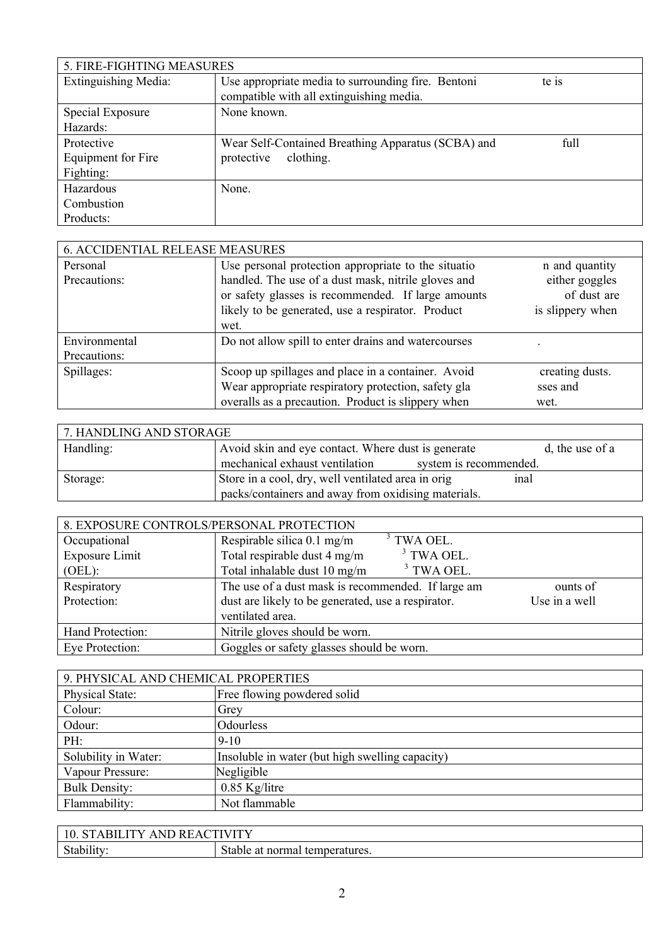| 5. FIRE-FIGHTING MEASURES   |                                                                                                |       |
|-----------------------------|------------------------------------------------------------------------------------------------|-------|
| <b>Extinguishing Media:</b> | Use appropriate media to surrounding fire. Bentoni<br>compatible with all extinguishing media. | te is |
| Special Exposure            | None known.                                                                                    |       |
| Hazards:                    |                                                                                                |       |
| Protective                  | Wear Self-Contained Breathing Apparatus (SCBA) and                                             | full  |
| Equipment for Fire          | clothing.<br>protective                                                                        |       |
| Fighting:                   |                                                                                                |       |
| Hazardous                   | None.                                                                                          |       |
| Combustion                  |                                                                                                |       |
| Products:                   |                                                                                                |       |

| <b>6. ACCIDENTIAL RELEASE MEASURES</b> |                                                     |                  |
|----------------------------------------|-----------------------------------------------------|------------------|
| Personal                               | Use personal protection appropriate to the situatio | n and quantity   |
| Precautions:                           | handled. The use of a dust mask, nitrile gloves and | either goggles   |
|                                        | or safety glasses is recommended. If large amounts  | of dust are      |
|                                        | likely to be generated, use a respirator. Product   | is slippery when |
|                                        | wet.                                                |                  |
| Environmental                          | Do not allow spill to enter drains and watercourses |                  |
| Precautions:                           |                                                     |                  |
| Spillages:                             | Scoop up spillages and place in a container. Avoid  | creating dusts.  |
|                                        | Wear appropriate respiratory protection, safety gla | sses and         |
|                                        | overalls as a precaution. Product is slippery when  | wet.             |

| 7. HANDLING AND STORAGE |                                                            |                 |  |
|-------------------------|------------------------------------------------------------|-----------------|--|
| Handling:               | Avoid skin and eye contact. Where dust is generate         | d, the use of a |  |
|                         | mechanical exhaust ventilation<br>system is recommended.   |                 |  |
| Storage:                | Store in a cool, dry, well ventilated area in orig<br>inal |                 |  |
|                         | packs/containers and away from oxidising materials.        |                 |  |

| 8. EXPOSURE CONTROLS/PERSONAL PROTECTION |                                                    |               |  |
|------------------------------------------|----------------------------------------------------|---------------|--|
| Occupational                             | $3$ TWA OEL.<br>Respirable silica 0.1 mg/m         |               |  |
| Exposure Limit                           | $3$ TWA OEL.<br>Total respirable dust 4 mg/m       |               |  |
| (OEL):                                   | $3$ TWA OEL.<br>Total inhalable dust 10 mg/m       |               |  |
| Respiratory                              | The use of a dust mask is recommended. If large am | ounts of      |  |
| Protection:                              | dust are likely to be generated, use a respirator. | Use in a well |  |
|                                          | ventilated area.                                   |               |  |
| Hand Protection:                         | Nitrile gloves should be worn.                     |               |  |
| Eye Protection:                          | Goggles or safety glasses should be worn.          |               |  |

| 9. PHYSICAL AND CHEMICAL PROPERTIES |                                                 |  |
|-------------------------------------|-------------------------------------------------|--|
| Physical State:                     | Free flowing powdered solid                     |  |
| Colour:                             | Grey                                            |  |
| Odour:                              | Odourless                                       |  |
| PH:                                 | $9 - 10$                                        |  |
| Solubility in Water:                | Insoluble in water (but high swelling capacity) |  |
| Vapour Pressure:                    | Negligible                                      |  |
| <b>Bulk Density:</b>                | $0.85$ Kg/litre                                 |  |
| Flammability:                       | Not flammable                                   |  |

| A BIL I'<br>10.<br>AN.<br>Δ.<br>יי | TWITV                                                 |
|------------------------------------|-------------------------------------------------------|
| $\sim$<br>Stability                | $\sim$<br>stable b<br>normal<br>u temperatures.<br>ai |